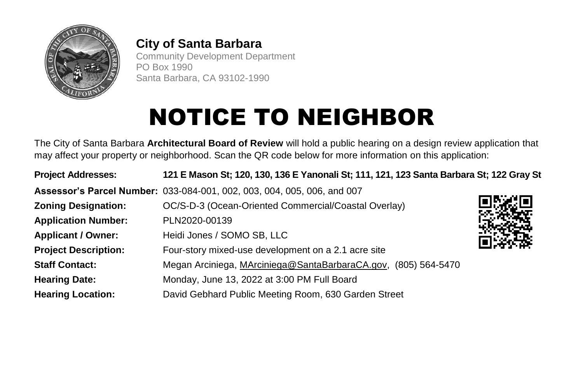

## **City of Santa Barbara**

Community Development Department PO Box 1990 Santa Barbara, CA 93102-1990

## **NOTICE TO NEIGHBOR**

The City of Santa Barbara **Architectural Board of Review** will hold a public hearing on a design review application that may affect your property or neighborhood. Scan the QR code below for more information on this application:

| <b>Project Addresses:</b>   | 121 E Mason St; 120, 130, 136 E Yanonali St; 111, 121, 123 Santa Barbara St; 122 Gray St |  |
|-----------------------------|------------------------------------------------------------------------------------------|--|
|                             | Assessor's Parcel Number: 033-084-001, 002, 003, 004, 005, 006, and 007                  |  |
| <b>Zoning Designation:</b>  | OC/S-D-3 (Ocean-Oriented Commercial/Coastal Overlay)                                     |  |
| <b>Application Number:</b>  | PLN2020-00139                                                                            |  |
| <b>Applicant / Owner:</b>   | Heidi Jones / SOMO SB, LLC                                                               |  |
| <b>Project Description:</b> | Four-story mixed-use development on a 2.1 acre site                                      |  |
| <b>Staff Contact:</b>       | Megan Arciniega, MArciniega@SantaBarbaraCA.gov, (805) 564-5470                           |  |
| <b>Hearing Date:</b>        | Monday, June 13, 2022 at 3:00 PM Full Board                                              |  |
| <b>Hearing Location:</b>    | David Gebhard Public Meeting Room, 630 Garden Street                                     |  |